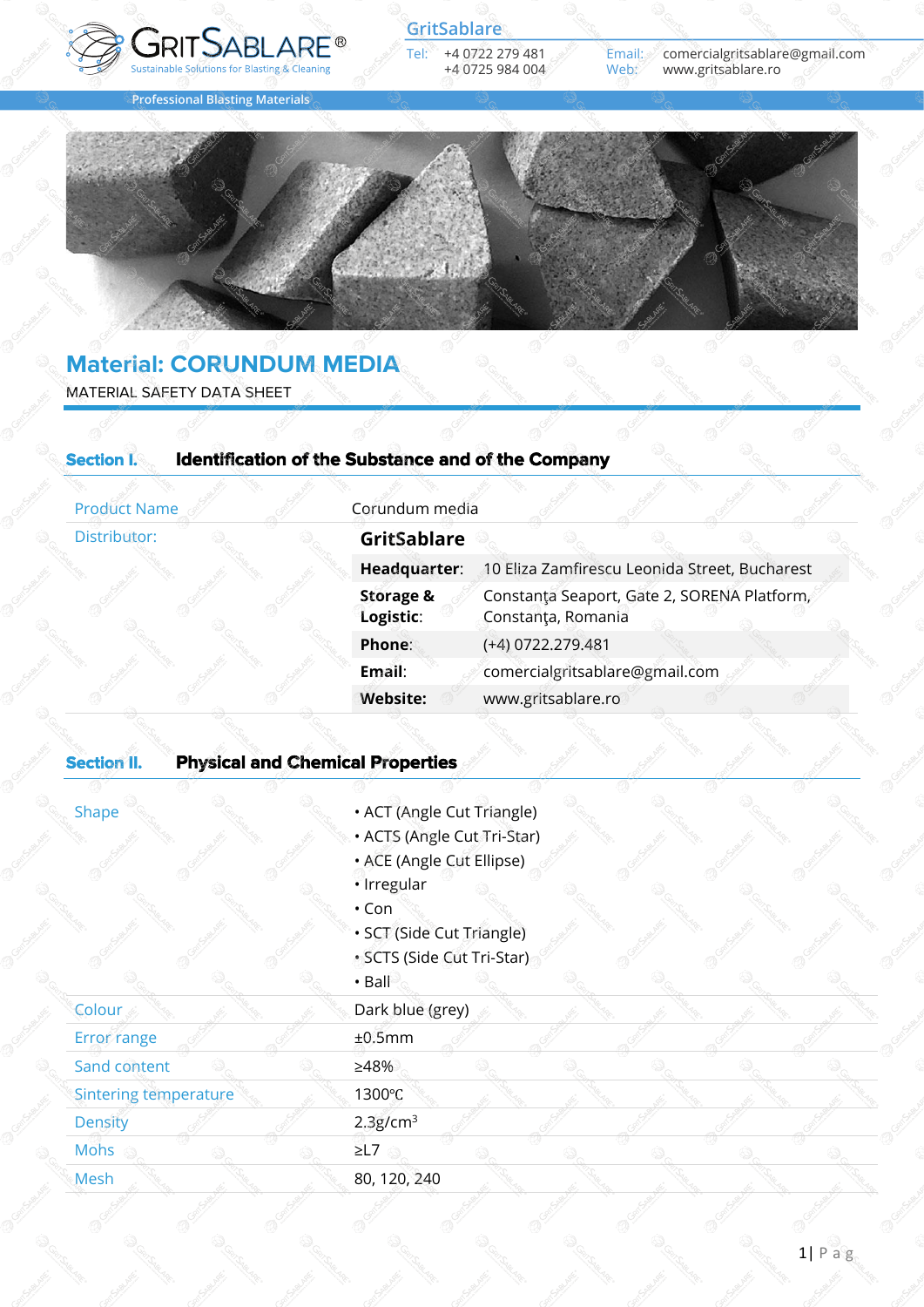

**Professional Blasting Materials**

**GritSablare**

Tel: +4 0722 279 481 +4 0725 984 004 Email: comercialgritsablare@gmail.com www.gritsablare.ro



# **Material: CORUNDUM MEDIA** MATERIAL SAFETY DATA SHEET

| <b>Product Name</b>                 | Corundum media                    |                                                                   |                    |                                |                                               |  |  |
|-------------------------------------|-----------------------------------|-------------------------------------------------------------------|--------------------|--------------------------------|-----------------------------------------------|--|--|
| Distributor:                        | <b>GritSablare</b>                |                                                                   |                    |                                |                                               |  |  |
|                                     | Headquarter:                      |                                                                   |                    |                                | 10 Eliza Zamfirescu Leonida Street, Bucharest |  |  |
|                                     | <b>Storage &amp;</b><br>Logistic: | Constanța Seaport, Gate 2, SORENA Platform,<br>Constanța, Romania |                    |                                |                                               |  |  |
|                                     | Phone:                            |                                                                   | (+4) 0722.279.481  |                                |                                               |  |  |
|                                     | Email:                            |                                                                   |                    | comercialgritsablare@gmail.com |                                               |  |  |
|                                     | <b>Website:</b>                   |                                                                   | www.gritsablare.ro |                                |                                               |  |  |
| <b>Dhusiasl and Chamical Dramas</b> |                                   |                                                                   |                    |                                |                                               |  |  |

## **Section II. Physical and Chemical Properties**

- **Shape Cut Triangle Shape 19 ACT (Angle Cut Triangle)** 
	- ACTS (Angle Cut Tri-Star)
	- ACE (Angle Cut Ellipse)
	- Irregular
	- Con
	- SCT (Side Cut Triangle)
	- SCTS (Side Cut Tri-Star)
	- $\cdot$  Ball

| Colour                | Dark blue (grey)     |  |  |
|-----------------------|----------------------|--|--|
| Error range           | ±0.5mm               |  |  |
| Sand content          | >48%                 |  |  |
| Sintering temperature | 1300°C               |  |  |
| <b>Density</b>        | 2.3g/cm <sup>3</sup> |  |  |
| Mohs                  | $\geq$ L7            |  |  |
| Mesh                  | 80, 120, 240         |  |  |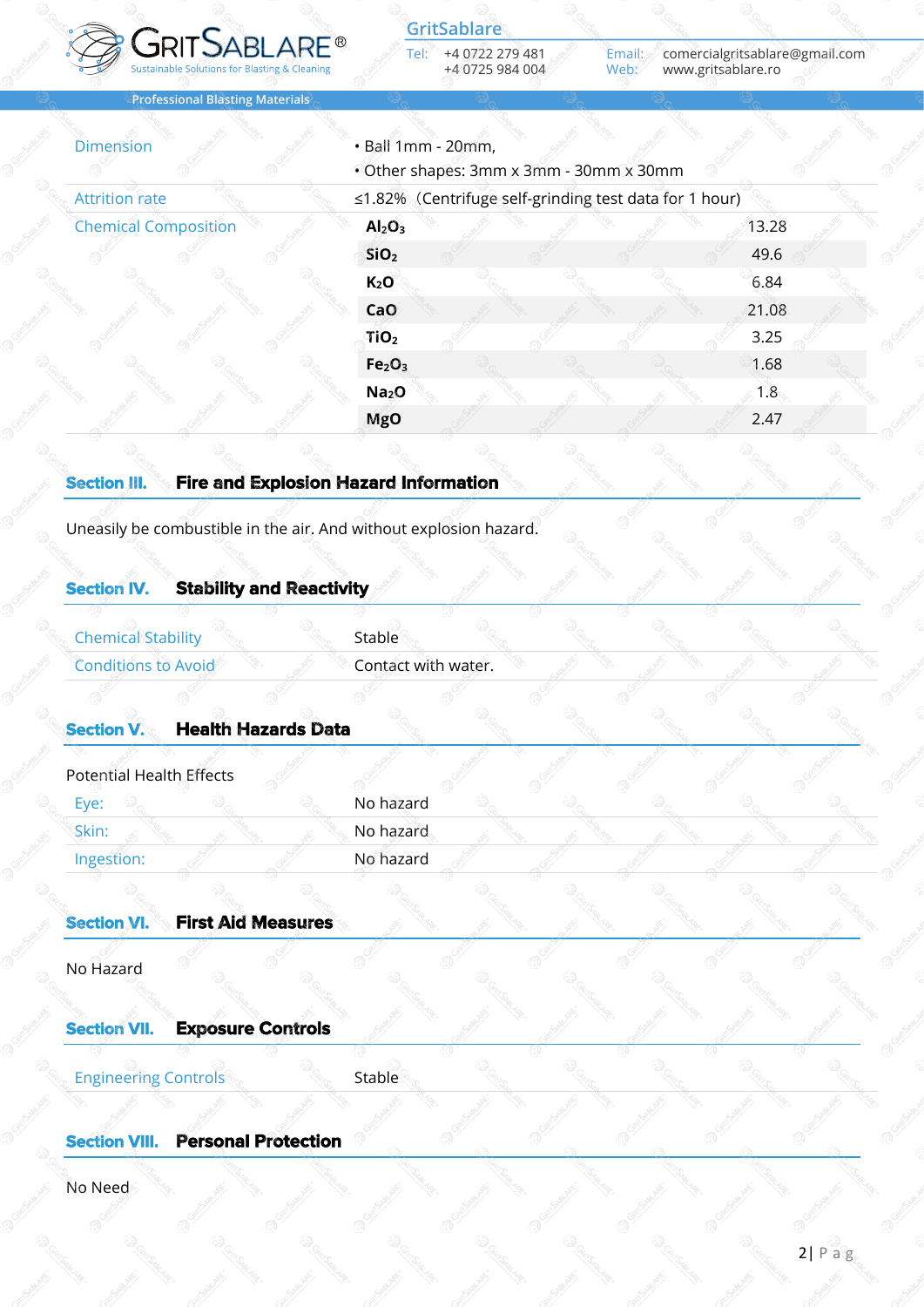

Tel: +4 0722 279 481 +4 0725 984 004 **GritSablare**

Email: comercialgritsablare@gmail.com Web: www.gritsablare.ro

**Professional Blasting Materials**

| <b>Attrition rate</b>       | ≤1.82% (Centrifuge self-grinding test data for 1 hour) |       |
|-----------------------------|--------------------------------------------------------|-------|
| <b>Chemical Composition</b> | Al <sub>2</sub> O <sub>3</sub>                         | 13.28 |
|                             | SiO <sub>2</sub>                                       | 49.6  |
|                             | $K_2O$                                                 | 6.84  |
|                             | CaO                                                    | 21.08 |
|                             | TiO <sub>2</sub>                                       | 3.25  |
|                             | Fe <sub>2</sub> O <sub>3</sub>                         | 1.68  |
|                             | Na <sub>2</sub> O                                      | 1.8   |
|                             | <b>MgO</b>                                             | 2.47  |
|                             |                                                        |       |
| <b>Section III.</b>         | <b>Fire and Explosion Hazard Information</b>           |       |
|                             |                                                        |       |

## **Section IV. Stability and Reactivity**

Chemical Stability Stable

Conditions to Avoid Contact with water.

## **Section V. Health Hazards Data**

| Potential Health Effects |           |  |  |  |
|--------------------------|-----------|--|--|--|
| Eye:                     | No hazard |  |  |  |
| Skin:                    | No hazard |  |  |  |
| Ingestion:               | No hazard |  |  |  |
|                          |           |  |  |  |

| <b>Section VI.</b>          | <b>First Aid Measures</b> |        |  |  |  |
|-----------------------------|---------------------------|--------|--|--|--|
| No Hazard                   |                           |        |  |  |  |
| <b>Section VII.</b>         | <b>Exposure Controls</b>  |        |  |  |  |
| <b>Engineering Controls</b> |                           | Stable |  |  |  |
| Cooline VIII                | <b>Dovonal Dvatostian</b> |        |  |  |  |

#### **Section VIII. Personal**

No Need